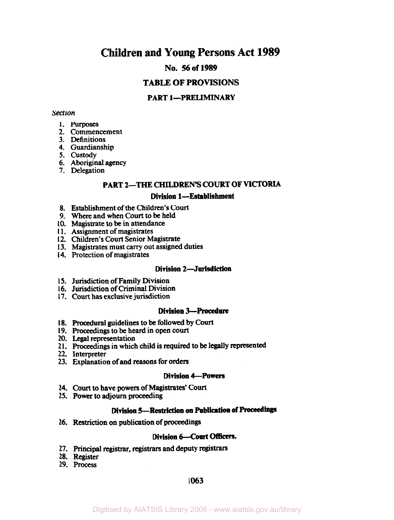# **Children and Young Persons Act 1989**

# **No.** *56* **of 1989**

# **TABLE OF PROVISIONS**

# **PART 1-PRELIMINARY**

#### *Section*

- 1. **Purposes**
- **2.** Commencement
- **3.** Definitions
- **4.** Guardianship
- **5.** custody
- 6. Aboriginal agency
- 7. Delegation

# **PART 2--THE CHILDREN'S COURT OF VICTORIA**

### **Division 1-Establishment**

- **8.** Establishment of the Children's Court
- 9. Where and when **Court** to be held
- **10.** Magistrate **to be** in attendance
- **11.** Assignment of magistrates
- **12.** Children's Court Senior Magistrate
- **13.** Magistrates must carry out assigned duties
- **14.** Protection of magistrates

### **Division 2-Jurisdiction**

- **15.** Jurisdiction of Family **Division**
- **16.** Jurisdiction of Criminal Division
- **17. Court** has exclusive jurisdiction

#### **Division 3--Procedure**

- **18.** Procedural guidelines to **be** followed by **Court**
- 19. proceedings to be heard in open **court**
- **20.** Legal representation
- **21.** Proceedings in which child is required to be legally represented
- **22.** Interpreter
- **23.** Explanation of and reasons for **orders**

#### **Division 4-Powers**

- **24. Court** to have powers of Magistrates' Court
- **25. Power** to adjourn proceeding

### **Division L-Restriction on Publication of** Proceedings

**26.** Restriction **on** publication of proceedings

### **Division 6-Court Offficers.**

- **27. Principal registrar, registrars** and deputy registrars
- **28.** Register
- **29.** Process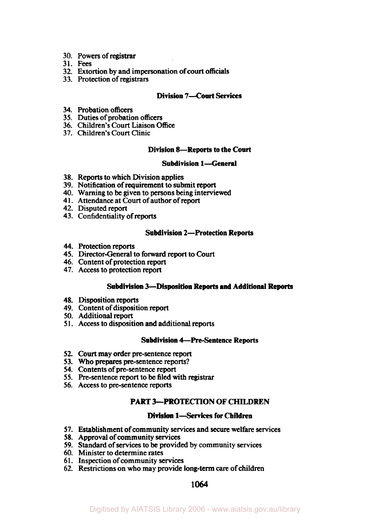- **30.**  Powers of **registrar**
- **31. Fees**
- **32.**  Extortion by and impersonation of **court** officials
- **33.**  Protection of **registrars**

### **Division 7-Court Services**

- **34.**  Probation officers
- **35.**  Duties of probation officers
- **36.**  Children's Court Liaison Office
- **37.**  Children's Court Clinic

#### **Division 8-Reports to the Court**

### **Subdivision 1-General**

- **38.**  Reports to which Division applies
- **39.**  Notification of requirement to submit report
- **40.**  Warning to be given to persons being interviewed
- **41.**  Attendance at Court of author of report
- **42.**  Disputed report
- **43.**  Confidentiality of **reports**

#### **Subdivision 2-Protection Reports**

- **44.**  Protection reports
- **45.**  Director-General to **forward** report to Court
- **46.**  Content of protection report
- **47.**  Access to protection report

### **Subdivision 3-Disposition Reports and Additional Reports**

- **48.**  Disposition reports
- **49.**  Content of disposition **report**
- **50.**  Additional report
- **51.**  Access **to** disposition and additional reports

#### **Subdivision 4-Pre-Sentence Reports**

- **52.** *Court* may order pre-sentence report
- **53. Who** prepares pre-sentence **reports?**
- **54.** Contents of pre-sentence report
- *55.* Pre-sentence report to be filed with **registrar**
- **56. Access** to pre-sentence reports

# **PART 3-PROTECTION OF CHILDREN**

### **Division 1-Services for Children**

- **57.** Establishment of community **services** and *secure* welfare **services**
- **58.** Approval of community services
- **59.** Standard of **services** to be provided by community **services**
- **60.** Minister to determine rates
- **6** 1. Inspection of community *services*
- **62.** Restrictions on who may provide long-term *care* of children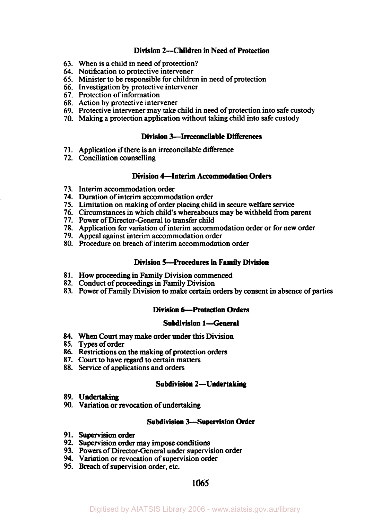### **Division 2- Children in Need of Protection**

- When is a child in need of protection? **63.**
- 64. Notification to protective intervener
- Minister to be responsible for children in need of protection **65.**
- 66. Investigation by protective intervener
- 67. Protection of information
- Action by protective intervener **68.**
- Protective intervener may take child in need of protection into safe custody **69.**
- Making a protection application without taking child into safe custody **70.**

#### **Division 3-Irreconcilable Differences**

- **7 1.** Application if there is an irreconcilable difference
- **72.** Conciliation counselling

### **Division 4-Interim Accommodation Orders**

- **73.** Interim accommodation order
- **74.** Duration **of** interim accommodation order
- **75.** Limitation on making of order placing child in secure welfare service
- **76.** Circumstances in which child's whereabouts may be withheld from parent
- **77.** Power of Director-General to transfer child
- **78.** Application for variation of interim accommodation order or for new order
- **79.** Appeal against interim accommodation order
- 80. Procedure on breach of interim accommodation order

### **Division 5-Procedures in Family Division**

- **8 1.** How proceeding in Family Division commenced
- **82.** Conduct of proceedings in Family Division
- **83.** Power of Family Division to make certain orders by consent in absence of **parties**

#### **Division 6-Protection Orders**

#### **Subdivision 1-General**

- **84. When** Court may make order **under this** Division
- 85. Types of order
- **86.** Restrictions **on the** making of protection orders
- **87.** Court to **have** regard to certain matters
- **88.** Service of applications and orders

#### **Subdivision 2-Undertaking**

- **89. Undertaking**
- **90.** Variation or revocation of undertaking

#### **Subdivision 3- Supervision Order**

- **9 1. Supervision order**
- **92.** Supervision order may impose conditions
- **93.** Powers of Director-General under supervision order
- **94.** Variation or revocation of supervision order
- **95.** Breach of supervision order, etc.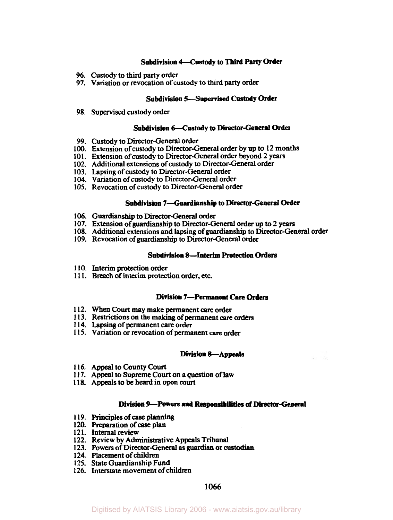#### **Subdivision** 4--Custody **to Third Party Order**

- **96.** Custody to third **party** order
- **97.** Variation or revocation **of** custody to third **party** order

### **Subdivision 5--Supervised Custody Order**

**98.** Supervised custody order

#### **Subdivision 6-Custody to Director-General Order**

- **99.** Custody to Director-General order
- **100.** Extension **of** custody to **Director-General** order by up to **12** months
- **101.** Extension **of** custody to Director-General order beyond 2 years
- **102.** Additional extensions of custody to **Director-General** order
- **103.** Lapsing of custody to Director-General order
- **104.** Variation **of** custody to Director-General order
- **105.** Revocation **of** custody to Director-General order

#### **Subdivision 7-Guardianship to Director-General Order**

- **106.** Guardianship to Director-General order
- **107.** Extension **of** guardianship to Director-General order up to **2 years**
- **108.** Additional extensions and lapsing **of** guardianship to Director-General order
- **109.** Revocation of guardianship to Director-General order

### Subdivision 8-Interim **Protection Orders**

- **110.** Interim protection order
- **1 1 1.** Breach **of** interim **protection order,** etc.

#### **Division 7-Permanent Care Orders**

- **1 12.** When **Court** may make permanent *care* order
- **1 13.** Restrictions on the making **of** permanent *care* **orders**
- **1 14.** Lapsing **of** permanent **care** order
- **1 15.** Variation or revocation of permanent *care* order

#### **Division 8-Appeals**

- **116. Appeal** to County **Court**
- **1 17.** Appeal to Supreme **Court** on **a** question **of** law
- **1 18.** Appeals to **be** heard in open court

#### **Division 9-Powers and Responsibilities** *of* Director-General

- **1 19.** Principles **of** *case* planning
- **120.** Preparation of *case* plan
- **12 1.** Internal review
- **122.** Review by Administrative **Appeals** Tribunal
- **123.** Powers **of** Director-General **as** *guardian* or *custodian*
- **124.** Placement **of** children
- **125.** State Guardianship Fund
- **126.** Interstate movement **of** children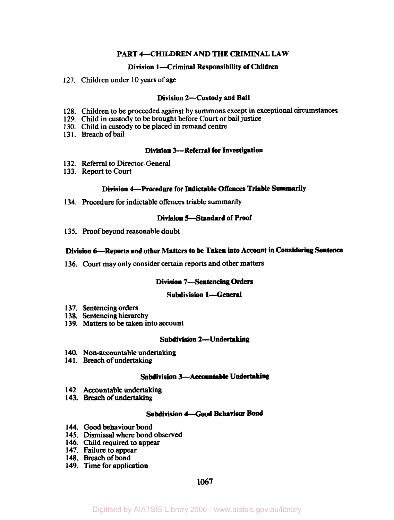### **PART 4-CHILDREN AND THE CRIMINAL LAW**

#### **Division 1-Criminal Responsibility of Children**

**127.** Children under **10** years of age

#### **Division 2-Custody and Bail**

- 128. Children to be proceeded against by summons except in exceptional circumstances
- **129.** Child in custody to be brought before Court or bail justice
- **130.** Child in custody to be placed in remand centre
- **13 1.** Breach of bail

### **Division 3-Referral for Investigation**

- **132.** Referral to Director-General
- **133.** Report to Court

### **Division 4-Procedure for Indictable Offences Triable Summarily**

**134.** Procedure for indictable offences triable summarily

### **Division 5- Standard of Proof**

**135.** Proof beyond reasonable doubt

### **Division 6-Reports and other Matters to be Taken into Account in Considering Sentence**

**136.** Court may **only** consider certain reports and other matters

#### **Division 7-Sentencing Orders**

#### **Subdivision 1-General**

- **137. Sentencing** orders
- **138.** Sentencing **hierarchy**
- **139.** Matters to be taken into account

### **Subdivision 2-Undertaking**

- **140.** Non-accountable undertaking
- **14 1.** Breach of undertaking

#### **Subdivision 3-Accoantable Undertaking**

- **142.** Accountable undertaking
- **143.** Breach of undertaking

### **Subdivision** *4- Good* **Behaviour Bond**

- **144.** Good **behaviour bond**
- **145.** Dismissal where **bond observed**
- **146.** Child required to appear
- **147. Failure** to appear
- **148.** Breach of bond
- **149.** Time for application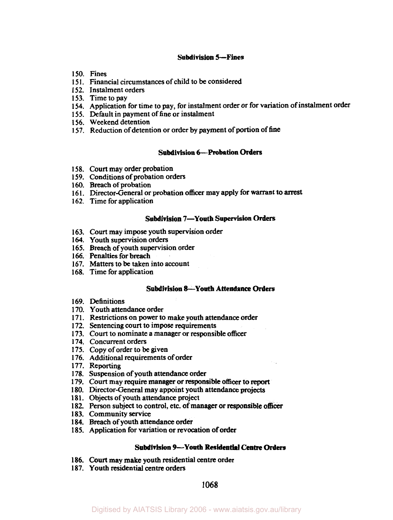### **Subdivision 5---Fines**

- **150.** Fines
- **15 1.** Financial circumstances of child to be considered
- **152.** Instalment orders
- **153.** Time to pay
- **154.** Application for time **to** pay, for instalment order or for variation of instalment order
- **155.** Default in payment of fine or instalment
- **156.** Weekend detention
- **157.** Reduction of detention or order by payment of portion of fine

#### **Subdivision 6-Probation Orders**

- **158.** Court may order probation
- **159.** Conditions of probation orders
- **160.** Breach of probation
- **16 1.** Director-General or probation officer may apply for warrant to arrest
- **162.** Time for application

#### **Subdivision 7-Youth Supervision Orders**

- **163. Court** may impose youth supervision order
- **164.** Youth supervision orders
- **165.** Breach of youth supervision order
- **166.** Penalties for breach
- **167.** Matters to be taken into account
- **168.** Time for application

#### **Subdivision 8-Youth Attendance Orders**

- **169.** Definitions
- **170.** Youth attendance order
- **17 1.** Restrictions on power to make youth attendance order
- **172.** Sentencing **court** to impose requirements
- **173.** Court to nominate a manager or responsible officer
- **174.** Concurrent orders
- **175.** Copy of order to be given
- **176.** Additional requirements of order
- **177.** Reporting
- **178.** Suspension of youth attendance order
- **179.** Court may require manager or responsible officer **to** report
- **180.** Director-General may appoint youth attendance projects
- **18 1.** Objects of youth attendance project
- **182.** Person subject to control, etc. of manager or responsible **officer**
- **183.** Community service
- **184.** Breach of youth attendance order
- **185.** Application for variation or revocation of order

### **Subdivision 9-Youth Residential Centre Orders**

- **186. Court** may make youth residential centre order
- **187.** Youth residential centre orders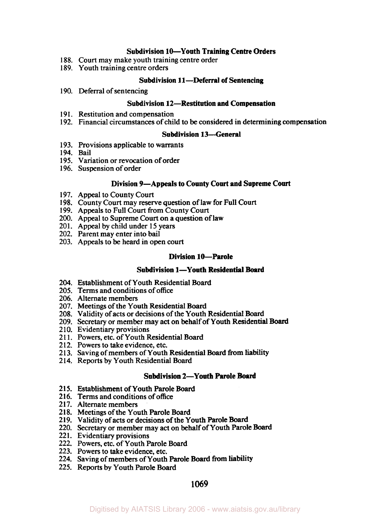### **Subdivision 10-Youth Training Centre Orders**

- **188.** Court may make youth training centre order
- **189.** Youth training centre orders

#### **Subdivision 11-Deferral of Sentencing**

**190.** Deferral of sentencing

### **Subdivision 12-Restitution and Compensation**

- **19 1.** Restitution and compensation
- **192.** Financial circumstances of child to be considered in determining compensation

#### **Subdivision 13-General**

- **193.** Provisions applicable to warrants
- **194.** Bail
- **195.** Variation or revocation of order
- **196.** Suspension of order

#### **Division 9-Appeals to County Court and Supreme Court**

- **197.** Appeal to County Court
- **198.** County Court may reserve question of law for Full Court
- **199.** Appeals to Full Court from County Court
- **200.** Appeal to Supreme Court on a question of law
- **201.** Appeal by child under **1 5** years
- **202.** Parent may enter into bail
- **203.** Appeals to be heard in open court

#### **Division 10-Parole**

### **Subdivision 1-Youth Residential Board**

- **204.**  Establishment of Youth Residential Board
- **205.**  Terms and conditions of office
- **206.**  Alternate members
- **207.**  Meetings of the Youth Residential Board
- **208.**  Validity of acts or decisions of the Youth Residential **Board**
- **209.**  Secretary or member may act on behalf of Youth Residential Board
- **210.**  Evidentiary provisions
- **211.**  Powers, etc. of Youth Residential Board
- **212.**  Powers to take evidence, etc.
- **213.**  Saving of members of Youth Residential Board from **liability**
- **214.**  Reports by Youth Residential Board

#### **Subdivision 2-Youth Parole Board**

- 2 **15.** Establishment of Youth Parole **Board**
- **2 16.** Terms and conditions of office
- **2 17.** Alternate members
- **21 8.** Meetings of the Youth Parole Board
- **2 19.** Validity of acts or decisions of the Youth Parole Board
- **220.** Secretary or member may act on behalf of Youth Parole Board
- **22 1.** Evidentiary provisions
- **222.** Powers, etc. of Youth Parole Board
- **223.** Powers to take evidence, etc.
- **224.** Saving of members of Youth Parole Board from **liability**
- **225.** Reports by Youth Parole Board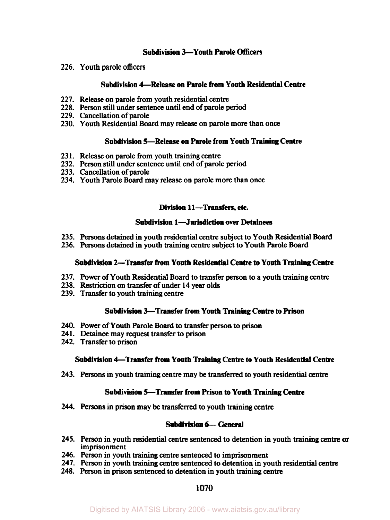# **Subdivision 3-Youth Parole Officers**

**226.** Youth parole officers

### **Subdivision 4-Release on Parole from Youth Residential Centre**

- **227.** Release on parole from youth residential centre
- **228.** Person still under sentence until end of parole **period**
- **229.** Cancellation of parole
- **230.** Youth Residential Board may release on parole more than once

### **Subdivision 5-Release on Parole from** Youth **Training Centre**

- **23 1.** Release on parole from youth training centre
- **232.** Person **still** under sentence until end of parole period
- **233.** Cancellation of parole
- **234.** Youth Parole Board may release on parole more than once

### **Division 11-Transfers, etc.**

### **Subdivision 1-Jurisdiction over Detainees**

- **235.** Persons detained in youth residential centre subject to Youth Residential Board
- **236.** Persons detained in youth training centre subject to Youth Parole Board

### **Subdivision 2-Transfer from** Youth **Residential Centre to Youth Training Centre**

- **237.** Power of Youth Residential Board to transfer person to a youth training centre
- **238.** Restriction on transfer of under **14** year olds
- **239.** Transfer to youth training centre

### **Subdivision 3—Transfer from Youth Training Centre to Prison**

- **240.** Power of Youth Parole Board **to** transfer person to prison
- 241. Detainee may request transfer to prison
- **242.** Transfer to prison

### **Subdivision 4-Transfer from Youth Training Centre** to **Youth Residential Centre**

**243.** Persons in youth training centre may **be** transferred to youth residential centre

### **Subdivision 5-Transfer from Prison to Youth Training** *Centre*

**244.** Persons in prison may **be** transferred to youth training centre

### **Subdivision 6- General**

- **245.** Person in youth residential centre sentenced to detention in youth training centre **or**  imprisonment
- **246.** Person in youth training centre sentenced to imprisonment
- **247.** Person in youth training centre sentenced to detention in youth residential centre
- **248.** Person in prison sentenced to detention in youth training centre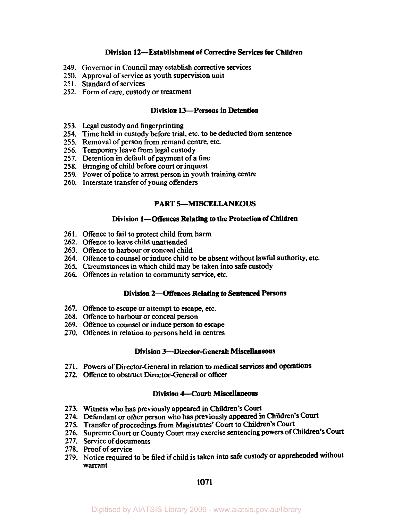### **Division 12-Establishment of Corrective Services for Children**

- **249.**  Governor in Council may establish corrective services
- **250.**  Approval of service as youth supervision unit
- **251.**  Standard of services
- **252.**  Form of care, custody or treatment

### **Division 13-Persons in Detention**

- **253.**  Legal custody and fingerprinting
- **254.**  Time held in custody before trial, etc. to be deducted from sentence
- **255.**  Removal of person from remand centre, etc.
- **256.**  Temporary leave from legal custody
- **257.**  Detention in default of payment of a fine
- **258.**  Bringing of child before court or inquest
- **259.**  Power of police to arrest person in youth training centre
- **260.**  Interstate transfer of young offenders

### **PART 5-MISCELLANEOUS**

#### **Division 1-Offences Relating to the Protection of Children**

- **261.**  Offence to fail to protect child from harm
- **262.**  Offence to leave child unattended
- **263.**  Offence to harbour or conceal child
- **264.**  Offence to counsel or induce child to be absent without lawful authority, etc.
- **265.**  Circumstances in which child may be taken into safe custody
- **266.**  Offences in relation to community service, etc.

### **Division 2-Offences Relating to Sentenced Persons**

- **267.**  Offence to escape or attempt to escape, etc.
- **268.**  Offence to harbour or conceal person
- **269.**  Offence to counsel or induce person to escape
- **270.**  Offences in relation to persons held in centres

#### **Division 3-Director-General: Miscellaneous**

- **271.**  Powers of Director-General in relation **to medical** *services* **and operations**
- **272.**  Offence to obstruct Director-General or officer

### **Division 4-Court: Miscellaneous**

- **273.**  Witness who has previously appeared in Children's **Court**
- **274.**  Defendant or other person who has previously appeared in **Children's Court**
- **275.**  Transfer of proceedings from Magistrates' Court to Children's **Court**
- **276.**  Supreme Court or County Court may exercise sentencing powers of Children's **Court**
- **277.**  Service of documents
- **278. Proof** of service
- **279.**  Notice required to **be** filed if child is taken into safe custody or apprehended without warrant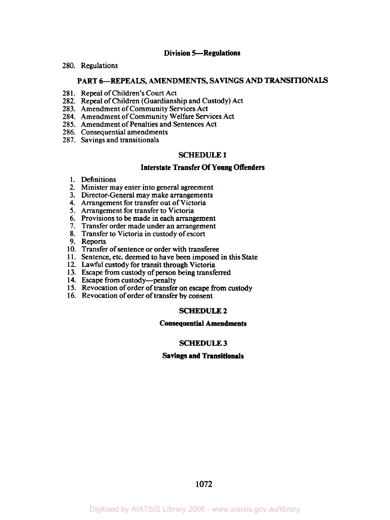#### **Division 5-Regulations**

**280.** Regulations

### PART 6-REPEALS, AMENDMENTS, SAVINGS AND TRANSITIONALS

- **28 1.** Repeal of Children's Court Act
- **282.** Repeal of Children (Guardianship and Custody) Act
- **283.** Amendment of Community Services Act
- **284.** Amendment of Community Welfare Services Act
- **285.** Amendment of Penalties and Sentences Act
- **286.** Consequential amendments
- **287.** Savings and transitionals

### **SCHEDULE 1**

### **Interstate Transfer Of Young Offenders**

- **1.** Definitions
- **2.** Minister may enter into general agreement
- **3.** Director-General may make arrangements
- **4.** Arrangement for transfer out of Victoria
- *5.* Arrangement for transfer to Victoria
- 6. Provisions to be made in each arrangement
- 7. Transfer order made under an arrangement
- **8.** Transfer to Victoria in custody of escort
- 9. Reports
- **10.** Transfer of sentence or order with transferee
- **1 1.** Sentence, etc. deemed to have been imposed in this State
- **12.** Lawful custody for transit through Victoria
- **13.** Escape from custody of person being transferred
- 14. Escape from custody-penalt
- **15.** Revocation of order of transfer on escape from custody
- **16.** Revocation of order of transfer by consent

### **SCHEDULE 2**

### **Consequential Amendments**

#### **SCHEDULE 3**

#### **Savings and Transitionals**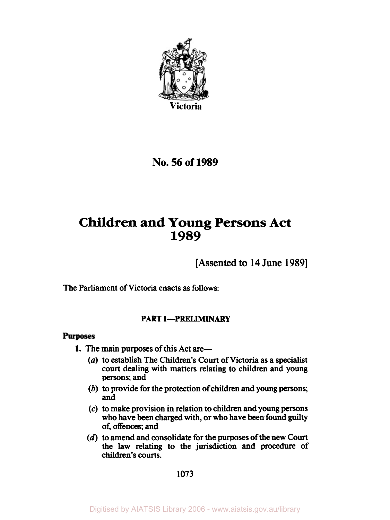

**No.** *56* **of 1989** 

# **Children and Young Persons Act 1989**

[Assented to **14** June **1989]** 

The Parliament of Victoria enacts as follows:

# **PART 1-PRELIMINARY**

# **Purposes**

- **1.** The main purposes of **this** Act **are-** 
	- *(a)* to establish The Children's **Court** of Victoria **as** a specialist **court** dealing with matters relating to children and **young persons;** and
	- *(b)* to provide for the protection **of** children **and young persons;**  and
	- *(c)* to make provision in relation to children and **young persons**  who have **been** charged with, or who have **been** found **guilty**  of, offences; and
	- (d) to amend and consolidate for the purposes of the new **Court**  the law relating to the **jurisdiction** and procedure of children's **courts.**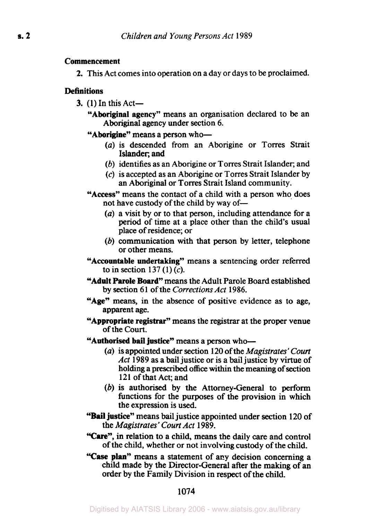# Commencement

**2.** This Act comes into operation on a day or days to be proclaimed.

# **Definitions**

3.  $(1)$  In this Act-

"Aboriginal agency" means an organisation declared to be an Aboriginal agency under section 6.

# "Aborigine" means a person who-

- *(a)* is descended from an Aborigine or Torres Strait Islander; and
- (b) identifies as an Aborigine or Torres Strait Islander; and
- (c) is accepted as an Aborigine or Torres Strait Islander by an Aboriginal or Torres Strait Island community.
- "Access" means the contact of a child with a person who does not have custody of the child by way of-
	- *(a)* a visit by or to that person, including attendance for a period of time at a place other than the child's usual place of residence; or
	- (b) communication with that person by letter, telephone or other means.
- "Accountable undertaking" means a sentencing order referred to in section 137 $(1)(c)$ .
- "Adult Parole Board" means the Adult Parole Board established by section 6 1 of the *Corrections Act* 1986.
- "Age" means, in the absence of positive evidence as to age, apparent age.
- "Appropriate **registrar"** means the registrar at the proper venue of the Court.
- "Authorised bail **justice"** means a person who-
	- *(a)* is appointed under section 120 of the *Magistrates'* **Court**  *Act* 1989 as a bail justice or is a bail justice by virtue of holding a prescribed **office** within the meaning of section 121 of that Act; and
	- (b) is authorised by the Attorney-General to perform functions for the purposes of the provision in which the expression is used.
- **"Bail justice"** means bail justice appointed under section 120 of the *Magistrates' Court Act* 1989.
- **"Care",** in relation to a child, means the daily care and control of the child, whether or not involving custody of the child.
- **"Case** plan" means a statement of any decision concerning a child made by the Director-General after the making of an order by the Family Division in respect of the child.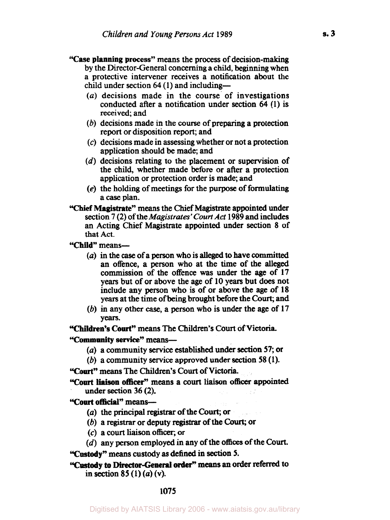- **"Case planning process"** means the process of decision-making by the Director-General concerning a child, beginning when a protective intervener receives a notification about the child under section **64 (1)** and including-
	- *(a)* decisions made in the course of investigations conducted after a notification under section **64** (1) is received; and
	- (b) decisions made in the **course** of preparing a protection report or disposition report; and
	- *(c)* decisions made in assessing whether or not a protection application should be made; and
	- *(d)* decisions relating to the placement or supervision of the child, whether made before or after a protection application or protection order is made; and
	- *(e)* the holding of meetings for the purpose of formulating a *case* plan.
- **"Chief Magistrate"** means the Chief Magistrate appointed under section 7 *(2)* of the *Magistrates' Court Act* 1989 and includes an Acting Chief Magistrate appointed under section 8 of that Act.

**"Child"** means-

- *(a)* in the *case* of a person who is **alleged to** have committed an offence, a person who at the **time** of the alleged commission of the offence **was** under the age of 17 years but of or above the age of 10 years but does not include any person who is of or above the age of 18 years at the time of being brought before the Court; and
- *(6)* in any other case, a person who is under the age of 17 Years.

**"Children's Court"** means The Children's **Court** of **Victoria.** 

**"Commonity service"** means-

- *(a)* a community service established **under section** *57;* **or**
- (b) a community service approved under **section 58** (1).

**"Court"** means The Children's Court of **Victoria.** 

**"Court liaison officer"** means a **court** liaison **officer** appointed under section 36 **(2).** 

**"Court official"** means-

- *(a)* the principal registrar of **the Court;** or
- (b) a **registrar** or deputy **registrar** of the *Court;* or
- *(c)* a court liaison **officer,** or
- *(d)* any person employed in **any** of the **offices** of the **Court.**

**"Custody"** means **custody as** defined **in section** *5.* 

**"Custody to Director-General order'' means an order referred** to in section 85 (1) *(a)* (v).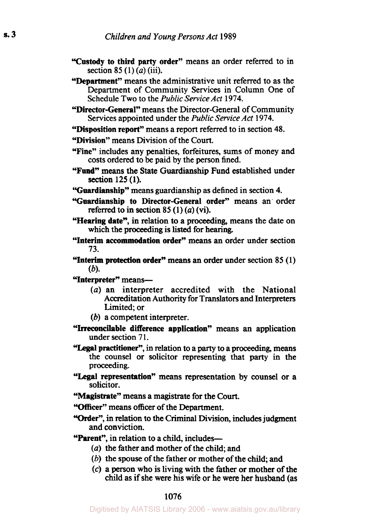- **"Custody to third party order"** means an order referred to in section **85 (1)** *(a)* (iii).
- **"Department"** means the administrative unit referred to as the Department of Community Services in Column One of Schedule Two to the *Public Service Act* **1974.**
- **"Director-General"** means the Director-General of Community Services appointed under the *Public Service Act* **1974.**
- **"Disposition report"** means a report referred to in section **48.**
- **"Division"** means Division of the Court.
- **"Fine"** includes any penalties, forfeitures, sums of money and costs ordered to be paid by the person fined.
- **"Fund"** means the State Guardianship Fund established under section 125 **(1).**
- **"Guardianship"** means guardianship as defined in section **4.**
- **"Guardianship to Director-General order"** means an' order referred to in section *85* **(1)** *(a)* (vi).
- **"Hearing date",** in relation to a proceeding, means the date on which the proceeding is listed for hearing.
- **"Interim accommodation order"** means an order under section **73.**
- **"Interim protection order"** means an order under section **85 (1)**  *(b).*
- **"Interpreter"** means-
	- *(a)* an interpreter accredited with the National Accreditation Authority for Translators and Interpreters Limited; or
	- *(b)* a competent interpreter.
- **"Irreconcilable difference application"** means **an** application under section **7 1.**
- "Legal **practitioner",** in relation to a **party** to a proceeding, means the counsel or solicitor representing that party in the proceeding.
- **"Legal representation"** means representation by counsel or a solicitor.
- **"Magistrate"** means a magistrate for the **Court.**

**"Officer"** means officer of the Department.

**"order", in** relation to the Criminal Division, includes judgment and conviction.

**"Parent",** in relation to a child, includes-

- *(a)* the father and mother of the child; and
- (b) the spouse of the father or mother of the child; and
- *(c)* a person who is living with the father or mother of the child as if she were **his** wife or he were her husband (as